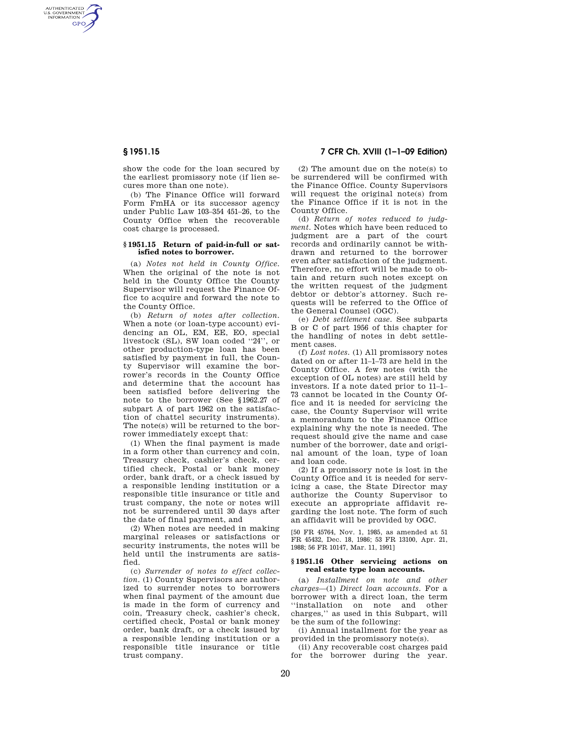AUTHENTICATED<br>U.S. GOVERNMENT<br>INFORMATION **GPO** 

> show the code for the loan secured by the earliest promissory note (if lien secures more than one note).

> (b) The Finance Office will forward Form FmHA or its successor agency under Public Law 103–354 451–26, to the County Office when the recoverable cost charge is processed.

#### **§ 1951.15 Return of paid-in-full or satisfied notes to borrower.**

(a) *Notes not held in County Office.*  When the original of the note is not held in the County Office the County Supervisor will request the Finance Office to acquire and forward the note to the County Office.

(b) *Return of notes after collection.*  When a note (or loan-type account) evidencing an OL, EM, EE, EO, special livestock (SL), SW loan coded ''24'', or other production-type loan has been satisfied by payment in full, the County Supervisor will examine the borrower's records in the County Office and determine that the account has been satisfied before delivering the note to the borrower (See §1962.27 of subpart A of part 1962 on the satisfaction of chattel security instruments). The note(s) will be returned to the borrower immediately except that:

(1) When the final payment is made in a form other than currency and coin, Treasury check, cashier's check, certified check, Postal or bank money order, bank draft, or a check issued by a responsible lending institution or a responsible title insurance or title and trust company, the note or notes will not be surrendered until 30 days after the date of final payment, and

(2) When notes are needed in making marginal releases or satisfactions or security instruments, the notes will be held until the instruments are satisfied.

(c) *Surrender of notes to effect collection.* (1) County Supervisors are authorized to surrender notes to borrowers when final payment of the amount due is made in the form of currency and coin, Treasury check, cashier's check, certified check, Postal or bank money order, bank draft, or a check issued by a responsible lending institution or a responsible title insurance or title trust company.

# **§ 1951.15 7 CFR Ch. XVIII (1–1–09 Edition)**

(2) The amount due on the note(s) to be surrendered will be confirmed with the Finance Office. County Supervisors will request the original note(s) from the Finance Office if it is not in the County Office.

(d) *Return of notes reduced to judgment.* Notes which have been reduced to judgment are a part of the court records and ordinarily cannot be withdrawn and returned to the borrower even after satisfaction of the judgment. Therefore, no effort will be made to obtain and return such notes except on the written request of the judgment debtor or debtor's attorney. Such requests will be referred to the Office of the General Counsel (OGC).

(e) *Debt settlement case.* See subparts B or C of part 1956 of this chapter for the handling of notes in debt settlement cases.

(f) *Lost notes.* (1) All promissory notes dated on or after 11–1–73 are held in the County Office. A few notes (with the exception of OL notes) are still held by investors. If a note dated prior to 11–1– 73 cannot be located in the County Office and it is needed for servicing the case, the County Supervisor will write a memorandum to the Finance Office explaining why the note is needed. The request should give the name and case number of the borrower, date and original amount of the loan, type of loan and loan code.

(2) If a promissory note is lost in the County Office and it is needed for servicing a case, the State Director may authorize the County Supervisor to execute an appropriate affidavit regarding the lost note. The form of such an affidavit will be provided by OGC.

[50 FR 45764, Nov. 1, 1985, as amended at 51 FR 45432, Dec. 18, 1986; 53 FR 13100, Apr. 21, 1988; 56 FR 10147, Mar. 11, 1991]

## **§ 1951.16 Other servicing actions on real estate type loan accounts.**

(a) *Installment on note and other charges*—(1) *Direct loan accounts.* For a borrower with a direct loan, the term ''installation on note and other charges,'' as used in this Subpart, will be the sum of the following:

(i) Annual installment for the year as provided in the promissory note(s).

(ii) Any recoverable cost charges paid for the borrower during the year.